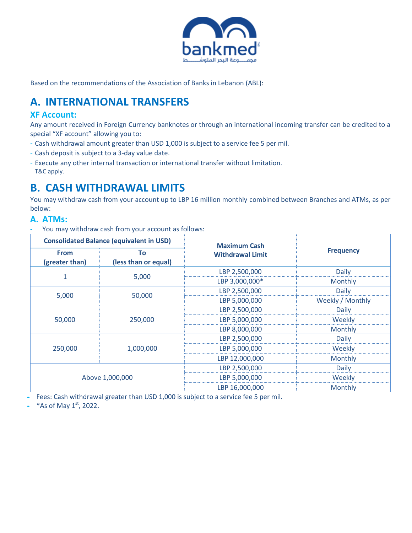

Based on the recommendations of the Association of Banks in Lebanon (ABL):

# **A. INTERNATIONAL TRANSFERS**

#### **XF Account:**

Any amount received in Foreign Currency banknotes or through an international incoming transfer can be credited to a special "XF account" allowing you to:

- Cash withdrawal amount greater than USD 1,000 is subject to a service fee 5 per mil.
- Cash deposit is subject to a 3-day value date.
- Execute any other internal transaction or international transfer without limitation. T&C apply.

# **B. CASH WITHDRAWAL LIMITS**

You may withdraw cash from your account up to LBP 16 million monthly combined between Branches and ATMs, as per below:

#### **A. ATMs:**

**-** You may withdraw cash from your account as follows:

| <b>Consolidated Balance (equivalent in USD)</b> |                            | <b>Maximum Cash</b>     |                  |
|-------------------------------------------------|----------------------------|-------------------------|------------------|
| <b>From</b><br>(greater than)                   | Тο<br>(less than or equal) | <b>Withdrawal Limit</b> | <b>Frequency</b> |
|                                                 | 5,000                      | LBP 2,500,000           | Daily            |
|                                                 |                            | LBP 3,000,000*          | Monthly          |
| 5,000                                           |                            | LBP 2,500,000           | Daily            |
|                                                 | 50,000                     | LBP 5,000,000           | Weekly / Monthly |
|                                                 | 250,000                    | LBP 2,500,000           | Daily            |
| 50,000                                          |                            | LBP 5,000,000           | Weekly           |
|                                                 |                            | LBP 8,000,000           | Monthly          |
|                                                 |                            | LBP 2,500,000           | Daily            |
| 250,000                                         | 1,000,000                  | LBP 5,000,000           | Weekly           |
|                                                 |                            | LBP 12,000,000          | Monthly          |
|                                                 |                            | LBP 2,500,000           | Daily            |
|                                                 | Above 1,000,000            | LBP 5,000,000           | Weekly           |
|                                                 |                            | LBP 16,000,000          | <b>Monthly</b>   |

**-** Fees: Cash withdrawal greater than USD 1,000 is subject to a service fee 5 per mil.

- \*As of May 1<sup>st</sup>, 2022.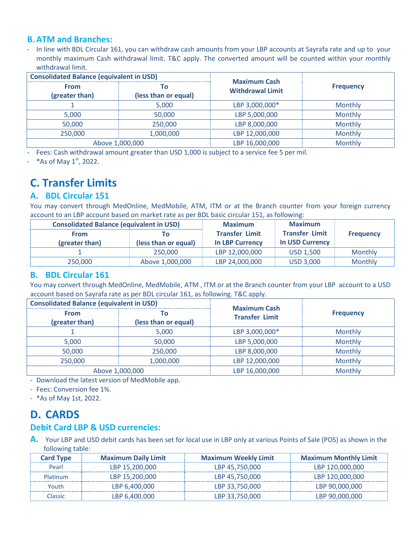#### **B.ATM and Branches:**

**-** In line with BDL Circular 161, you can withdraw cash amounts from your LBP accounts at Sayrafa rate and up to your monthly maximum Cash withdrawal limit. T&C apply. The converted amount will be counted within your monthly withdrawal limit.

| <b>Consolidated Balance (equivalent in USD)</b> |                             | <b>Maximum Cash</b>     |                  |  |
|-------------------------------------------------|-----------------------------|-------------------------|------------------|--|
| From<br>(greater than)                          | 0 C<br>(less than or equal) | <b>Withdrawal Limit</b> | <b>Frequency</b> |  |
|                                                 | 5,000                       | LBP 3,000,000*          | Monthly          |  |
| 5,000                                           | 50,000                      | LBP 5,000,000           | Monthly          |  |
| 50,000                                          | 250,000                     | LBP 8,000,000           | Monthly          |  |
| 250,000                                         | 1,000,000                   | LBP 12,000,000          | Monthly          |  |
|                                                 | Above 1,000,000             | LBP 16,000,000          | Monthly          |  |

**-** Fees: Cash withdrawal amount greater than USD 1,000 is subject to a service fee 5 per mil.

- \*As of May 1<sup>st</sup>, 2022.

# **C. Transfer Limits**

#### **A. BDL Circular 151**

You may convert through MedOnline, MedMobile, ATM, ITM or at the Branch counter from your foreign currency account to an LBP account based on market rate as per BDL basic circular 151, as following:

| <b>Consolidated Balance (equivalent in USD)</b> |                            | <b>Maximum</b>                                  | <b>Maximum</b>                                  |                  |
|-------------------------------------------------|----------------------------|-------------------------------------------------|-------------------------------------------------|------------------|
| <b>From</b><br>(greater than)                   | ۱o<br>(less than or equal) | <b>Transfer Limit</b><br><b>In LBP Currency</b> | <b>Transfer Limit</b><br><b>In USD Currency</b> | <b>Frequency</b> |
|                                                 | 250,000                    | LBP 12,000,000                                  | <b>USD 1.500</b>                                | <b>Monthly</b>   |
| 250,000                                         | Above 1,000,000            | LBP 24,000,000                                  | <b>USD 3,000</b>                                | <b>Monthly</b>   |

#### **B. BDL Circular 161**

You may convert through MedOnline, MedMobile, ATM , ITM or at the Branch counter from your LBP account to a USD account based on Sayrafa rate as per BDL circular 161, as following. T&C apply.

| <b>Consolidated Balance (equivalent in USD)</b> |                             | <b>Maximum Cash</b>   |                  |  |
|-------------------------------------------------|-----------------------------|-----------------------|------------------|--|
| From<br>(greater than)                          | l O<br>(less than or equal) | <b>Transfer Limit</b> | <b>Frequency</b> |  |
|                                                 | 5,000                       | LBP 3,000,000*        | Monthly          |  |
| 5,000                                           | 50,000                      | LBP 5,000,000         | Monthly          |  |
| 50,000                                          | 250,000                     | LBP 8,000,000         | Monthly          |  |
| 250,000                                         | 1,000,000                   | LBP 12,000,000        | Monthly          |  |
| Above 1,000,000                                 |                             | LBP 16,000,000        | Monthly          |  |

- Download the latest version of MedMobile app.

- Fees: Conversion fee 1%.

- \*As of May 1st, 2022.

# **D. CARDS**

### **Debit Card LBP & USD currencies:**

**A.** Your LBP and USD debit cards has been set for local use in LBP only at various Points of Sale (POS) as shown in the following table:

| <b>Card Type</b> | <b>Maximum Daily Limit</b> | <b>Maximum Weekly Limit</b> | <b>Maximum Monthly Limit</b> |
|------------------|----------------------------|-----------------------------|------------------------------|
| Pearl            | LBP 15,200,000             | LBP 45,750,000              | LBP 120,000,000              |
| Platinum         | LBP 15,200,000             | LBP 45,750,000              | LBP 120,000,000              |
| Youth            | LBP 6,400,000              | LBP 33,750,000              | LBP 90.000.000               |
| Classic.         | LBP 6.400.000              | LBP 33,750,000              | LBP 90.000.000               |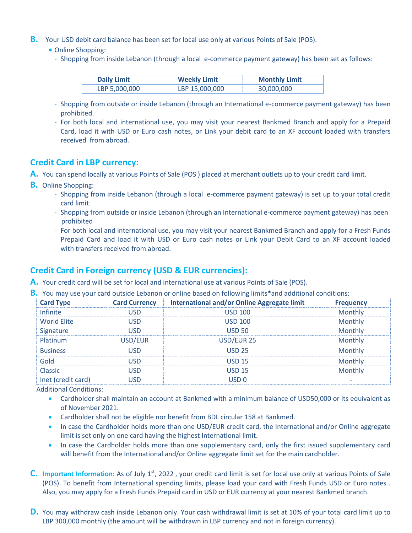- **B.** Your USD debit card balance has been set for local use only at various Points of Sale (POS).
	- Online Shopping:
	- Shopping from inside Lebanon (through a local e-commerce payment gateway) has been set as follows:

| <b>Daily Limit</b> | <b>Weekly Limit</b> | <b>Monthly Limit</b> |
|--------------------|---------------------|----------------------|
| LBP 5,000,000      | LBP 15,000,000      | 30,000,000           |

- Shopping from outside or inside Lebanon (through an International e-commerce payment gateway) has been prohibited.
- For both local and international use, you may visit your nearest Bankmed Branch and apply for a Prepaid Card, load it with USD or Euro cash notes, or Link your debit card to an XF account loaded with transfers received from abroad.

#### **Credit Card in LBP currency:**

- **A.** You can spend locally at various Points of Sale (POS ) placed at merchant outlets up to your credit card limit.
- **B.** Online Shopping:
	- Shopping from inside Lebanon (through a local e-commerce payment gateway) is set up to your total credit card limit.
	- Shopping from outside or inside Lebanon (through an International e-commerce payment gateway) has been prohibited
	- For both local and international use, you may visit your nearest Bankmed Branch and apply for a Fresh Funds Prepaid Card and load it with USD or Euro cash notes or Link your Debit Card to an XF account loaded with transfers received from abroad.

#### **Credit Card in Foreign currency (USD & EUR currencies):**

- **A.** Your credit card will be set for local and international use at various Points of Sale (POS).
- **B.** You may use your card outside Lebanon or online based on following limits\*and additional conditions:

| <b>Card Type</b>   | <b>Card Currency</b> | <b>International and/or Online Aggregate limit</b> | <b>Frequency</b> |
|--------------------|----------------------|----------------------------------------------------|------------------|
| <b>Infinite</b>    | USD                  | <b>USD 100</b>                                     | Monthly          |
| <b>World Elite</b> | <b>USD</b>           | <b>USD 100</b>                                     | Monthly          |
| Signature          | <b>USD</b>           | <b>USD 50</b>                                      | Monthly          |
| Platinum           | USD/EUR              | USD/EUR 25                                         | Monthly          |
| <b>Business</b>    | <b>USD</b>           | <b>USD 25</b>                                      | Monthly          |
| Gold               | <b>USD</b>           | <b>USD 15</b>                                      | Monthly          |
| Classic            | <b>USD</b>           | <b>USD 15</b>                                      | Monthly          |
| Inet (credit card) | USD                  | USD <sub>0</sub>                                   |                  |

Additional Conditions:

- Cardholder shall maintain an account at Bankmed with a minimum balance of USD50,000 or its equivalent as of November 2021.
- Cardholder shall not be eligible nor benefit from BDL circular 158 at Bankmed.
- In case the Cardholder holds more than one USD/EUR credit card, the International and/or Online aggregate limit is set only on one card having the highest International limit.
- In case the Cardholder holds more than one supplementary card, only the first issued supplementary card will benefit from the International and/or Online aggregate limit set for the main cardholder.
- C. Important Information: As of July 1<sup>st</sup>, 2022, your credit card limit is set for local use only at various Points of Sale (POS). To benefit from International spending limits, please load your card with Fresh Funds USD or Euro notes . Also, you may apply for a Fresh Funds Prepaid card in USD or EUR currency at your nearest Bankmed branch.
- **D.** You may withdraw cash inside Lebanon only. Your cash withdrawal limit is set at 10% of your total card limit up to LBP 300,000 monthly (the amount will be withdrawn in LBP currency and not in foreign currency).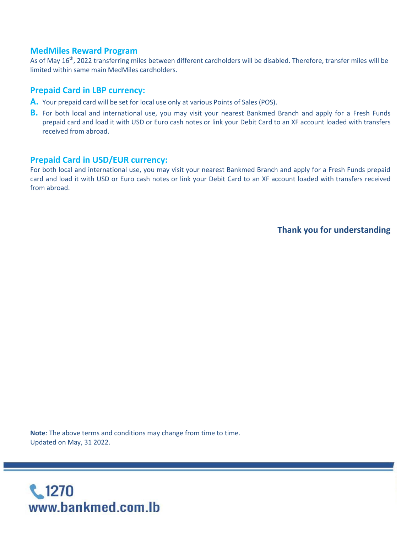#### **MedMiles Reward Program**

As of May 16<sup>th</sup>, 2022 transferring miles between different cardholders will be disabled. Therefore, transfer miles will be limited within same main MedMiles cardholders.

#### **Prepaid Card in LBP currency:**

- **A.** Your prepaid card will be set for local use only at various Points of Sales (POS).
- **B.** For both local and international use, you may visit your nearest Bankmed Branch and apply for a Fresh Funds prepaid card and load it with USD or Euro cash notes or link your Debit Card to an XF account loaded with transfers received from abroad.

#### **Prepaid Card in USD/EUR currency:**

For both local and international use, you may visit your nearest Bankmed Branch and apply for a Fresh Funds prepaid card and load it with USD or Euro cash notes or link your Debit Card to an XF account loaded with transfers received from abroad.

**Thank you for understanding**

**Note**: The above terms and conditions may change from time to time. Updated on May, 31 2022.

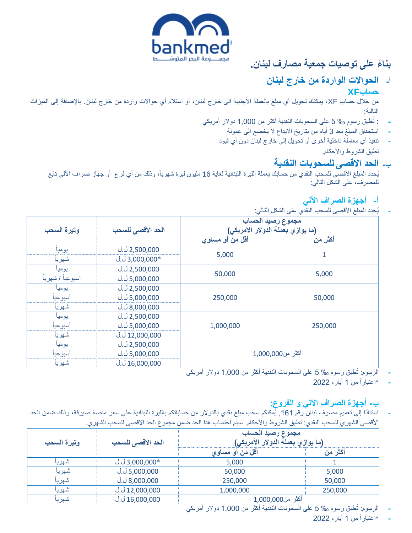

# **بنا ًء على توصيات جمعية مصارف لبنان.**

## **أ- الحواالت الواردة من خارج لبنان حسابXF**

من خلال حساب XF، يمكنك تحويل أي مبلغ بالعملة الأجنبية الى خارج لبنان، أو استلام أي حوالات واردة من خارج لبنان<sub>.</sub> بالإضافة إلى الميزات التالية:

- تطبق رسوم ‰ 5 على السحوبات النقدية أكثر من 1,000 دوالر أمريكي : **-**
	- **-** استحقاق المبلغ بعد 3 أيام من بتاريخ االيداع ال يخضع الى عمولة
	- **-** تنفيذ أي معاملة داخلية أخرى أو تحويل إلى خارج لبنان دون أي قيود تطبق الشروط والأحكام.

### **ب- الحد االقصى للسحوبات النقدية**

يُحدد المبلغ الأقصىي للسحب النقدي من حسابك بعملة الليرة اللبنانية لغاية 16 مليون ليرة شهرياً، وذلك من أي فرع أو جهاز صراف الألي تابع للمصرف، على الشكل التالي:

## **أ- أجهزة الصراف اآللي**

**-** يحدد المبلغ األقصى للسحب النقدي على الشكل التالي:

|                   |                              | مجموع رصيد الحساب<br>(ما يوازي بعملة الدولار الأمريكي) |         |
|-------------------|------------------------------|--------------------------------------------------------|---------|
| وتيرة السحب       | الحد الاقصى للسحب            |                                                        |         |
|                   |                              | أقل من أو مساوي                                        | أكثر من |
| يوميا             | $J_{.}J_{.}2,500,000$        |                                                        |         |
| شهريأ             | $J. J.3,000,000*$            | 5,000                                                  | 1       |
| يوميا             | $J_{.}J_{.}2,500,000$        |                                                        |         |
| اسبوعياً / شهرياً | $J_{.}J_{.}5,000,000$        | 50,000                                                 | 5,000   |
| يوميا             | $J_{.}J_{.}2,500,000$        |                                                        |         |
| أسبوعيا           | $J_{.}J_{.}5,000,000$        | 250,000                                                | 50,000  |
| شهريأ             | $J_{.}J_{.}8,000,000$        |                                                        |         |
| يوميا             | $J_{.}J_{.}2,500,000$        |                                                        |         |
| أسبوعيأ           | J. J 5,000,000               | 1,000,000                                              | 250,000 |
| شهريأ             | $J_{.}J_{.}12,000,000$       |                                                        |         |
| يوميا             | $J_{.}J_{.}2,500,000$        |                                                        |         |
| أسبوعيا           | $J_{\cdot}$ J $\,$ 5,000,000 | أكثر من1,000,000                                       |         |
| شهريأ             | $J_{.}J_{.}16,000,000$       |                                                        |         |

- تطبق رسوم ‰ 5 على السحوبات النقدية أكثر من 1,000 دوالر أمريكي **-** الرسوم:
	- **-** \*اعتبارا من 1 أيار، 2022

## **ب- أجهزة الصراف اآللي و الفروع:**

استنادًا إلى تعميم مصرف لبنان رقم 161, يُمكنكم سحب مبلغ نقدي بالدولار من حساباتكم بالليرة اللبنانية على سعر منصة صيرفة، وذلك ضمن الحد األقصى الشهري للسحب النقدي: تطبق الشروط واألحكام. سيتم احتساب هذا الحد ضمن مجموع الحد االقصى للسحب الشهري.

| وتيرة السحب | الحد الاقصى للسحب        | مجموع رصيد الحساب<br>(ما يوازي بعملة الدولار الأمريكي) |         |
|-------------|--------------------------|--------------------------------------------------------|---------|
|             |                          | أقل من أو مساوي                                        | أكثر من |
| سهريا       | U.U 3,000,000 $*$        | 5,000                                                  |         |
| شهريأ       | <u>ل 5,000,000 ل</u>     | 50,000                                                 | 5,000   |
| شهريا       | J. J.8,000,000           | 250,000                                                | 50,000  |
| شهريا       | <u>ل 12,000,000 ل</u>    | 1,000,000                                              | 250,000 |
| شهريـ       | <u>ل 16,000,000 ل</u> .ل | أكثر من1,000,000                                       |         |

تطبق رسوم ‰ 5 على السحوبات النقدية أكثر من 1,000 دوالر أمريكي **-** الرسوم:

**-** \*اعتبارا من 1 أيار، 2022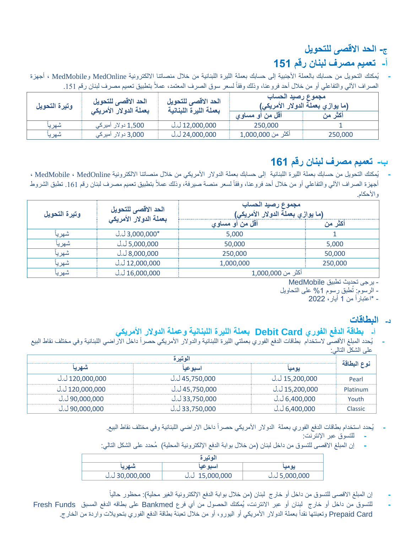## **ج- الحد االقصى للتحويل**

# **أ- تعميم مصرف لبنان رقم 151**

**-** يمكنك التحويل من حسابك بالعملة األجنبية إلى حسابك بعملة الليرة اللبنانية من خالل منصاتنا االلكترونية MedOnline وMedMobile ، أجهزة الصراف الألي والتفاعلي أو من خلال أحد فروعنا، وذلك وفقاً لسعر سوق الصرف المعتمد، عملاً بتطبيق تعميم مصرف لبنان رقم 151.

| وتيرة التحويل | الحد الاقصى للتحويل<br>بعملة الدولار الأمريكي | الحد الاقصى للتحويل<br>بعملة الليرة اللبنانية | مجموع رصيد الحساب<br>(ما يوازي بعملة الدولار الأمريكي) |         |
|---------------|-----------------------------------------------|-----------------------------------------------|--------------------------------------------------------|---------|
|               |                                               |                                               | اقل من أو مساوي مس                                     | أكثر من |
| شهريا         | ِ 1,500 دولار أميرك <i>ي</i>                  | <u>ل 12,000,000</u>                           | 250,000                                                |         |
| شهريا         | 3,000 دولار أميركى                            | .J 24,000,000                                 | أكثر من 1,000,000                                      | 250,000 |

## **ب- تعميم مصرف لبنان رقم 161**

**-** يمكنك التحويل من حسابك بعملة الليرة اللبنانية إلى حسابك بعملة الدوالر األمريكي من خالل منصاتنا االلكترونية MedOnline ، MedMobile ، أجهزة الصراف الألبي والتفاعلي أو من خلال أحد فروعنا، وفقاً لسعر منصة صيرفة، وذلك عملاً بتطبيق تعميم مصرف لبنان رقم 161. تطبق الشروط والأحكام.

| وتيرة التحويل | الحد الاقصى للتحويل<br>بعملة الدولار الأمريكي | مجموع رصيد الحساب<br>(ما يوازي بعملة الدولار الأمريكي) |         |
|---------------|-----------------------------------------------|--------------------------------------------------------|---------|
|               |                                               | أقل من أو مساوي                                        | أكثر من |
| شهريا         | $J. J.3,000,000*$                             | 5,000                                                  |         |
| شهريأ         | ن 5,000,000 ك.ل                               | 50,000                                                 | 5,000   |
| شهريأ         | $J_{\cdot}$ J 8,000,000                       | 250,000                                                | 50,000  |
| شهريا         | <u>ل 12,000,000 ل</u>                         | 1,000,000                                              | 250,000 |
| شهريا         | <u>ل 16,000,000 ل</u>                         | أكثر من 1,000,000                                      |         |

#### - يرجى تحديث تطبيق MedMobile

تطبق رسوم %1 على التحاويل - الرسوم:

- \*اعتبارا من 1 أيار، 2022

### **د- البطاقات**

### **أ- بطاقة الدفع الفوري Card Debit بعملة الليرة اللبنانية وعملة الدوالر األمريكي**

يُحدد المبلغ الأقصى لاستخدام بطاقات الدفع الفوري بعملتي الليرة اللبنانية والدولار الأمريكي حصراً داخل الآراضي اللبنانية وفي مختلف نقاط البيع على الشكل التالي:

| الوتيرة                |                |                         |             |
|------------------------|----------------|-------------------------|-------------|
| شهر با                 | اسبو عيا       | يوميا                   | نوع البطاقة |
| <u>ل ل 120,000,000</u> | ى 45,750,000   | 15,200,000 ل.ل          | Pearl       |
| <u>ن 120,000,000</u>   | ل.ل 45,750,000 | <u>ل ل 15,200,000 ل</u> | Platinum    |
| ل.ل 90,000,000 $\mu$   | 33,750,000 ل.ل | <u>ل.ل 6,400,000</u>    | Youth       |
| ں 90,000,000 ل.ل       | ى 33,750,000   | <u>ل.ل 6,400,000</u>    | Classic     |

- **-** يحدد استخدام بطاقات الدفع الفوري بعملة الدوالر األمريكي حصرا داخل االراضي اللبنانية وفي مختلف نقاط البيع.
	- **-** للتسوق عبر اإلنترنت:
- **-** إن المبلغ االقصى للتسوق من داخل لبنان )من خالل بوابة الدفع اإللكترونية المحلية( محدد على الشكل التالي:

| الوتير ة          |                                    |                 |  |  |
|-------------------|------------------------------------|-----------------|--|--|
| شهريه             | اسبو عيا                           | يوميا           |  |  |
| بل. 30,000,000 ك. | $J_{\cdot}$ $J_{\cdot}$ 15,000,000 | ن 5,000,000 ك.ل |  |  |

- **-** إن المبلغ االقصى للتسوق من داخل أو خارج لبنان )من خالل بوابة الدفع اإللكترونية الغير محلية(: محظور حاليا
- **-** للتسوق من داخل أو خارج لبنان أو عبر االنترنت، يمكنك الحصول من أي فرع Bankmed على بطاقه الدفع المسبق Funds Fresh Prepaid Card وتعبئتها نقداً بعملة الدولار الأمريكي أو اليورو، أو من خلال تعبئة بطاقة الدفع الفوري بتحويلات واردة من الخارج.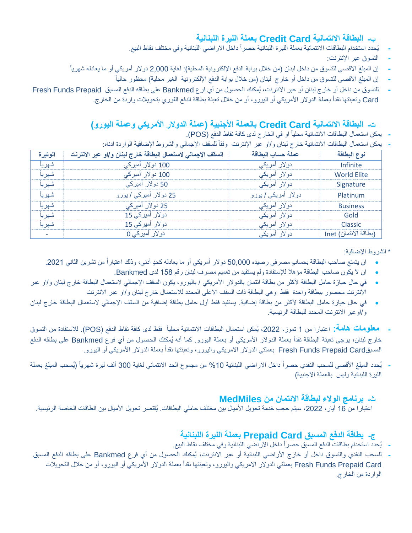## **ب- البطاقة االئتمانية Card Credit بعملة الليرة اللبنانية**

- **-** يحدد استخدام البطاقات االئتمانية بعملة الليرة اللبنانية حصرا داخل االراضي اللبنانية وفي مختلف نقاط البيع.
	- **-** التسوق عبر اإلنترنت:
- إن المبلغ الاقصى للتسوق من داخل لبنان (من خلال بوابة الدفع الإلكترونية المحلية): لغاية 2,000 دولار أمريكي أو ما يعادله شهرياً
	- **-** إن المبلغ االقصى للتسوق من داخل أو خارج لبنان )من خالل بوابة الدفع اإللكترونية الغير محلية( محظور حاليا
- **-** للتسوق من داخل أو خارج لبنان أو عبر االنترنت، يمكنك الحصول من أي فرع Bankmed على بطاقه الدفع المسبق Prepaid Funds Fresh Card وتعبئتها نقداً بعملة الدولار الأمريكي أو اليورو، أو من خلال تعبئة بطاقة الدفع الفوري بتحويلات واردة من الخارج.

## **ت- البطاقة االئتمانية Card Credit بالعملة األجنبية )عملة الدوالر األمريكي وعملة اليورو(**

- يمكن استعمال البطاقات الائتمانية محلياً او في الخارج لدى كافة نقاط الدفع (POS).
- يمكن استعمال البطاقات الائتمانية خارج لبنان و/او عبر الإنترنت وفقاً للسقف الإجمالي والشروط الإضافية الواردة ادناه:

| الوتيرة                  | السقف الإجمالي لاستعمال البطاقة خارج لبنان و/او عبر الانترنت | عملة حساب البطاقة           | نوع البطاقة           |
|--------------------------|--------------------------------------------------------------|-----------------------------|-----------------------|
| شهريأ                    | 100 دولار أميركي                                             | دو لار أمريك <i>ي</i>       | Infinite              |
| شهريأ                    | 100 دولار أميركي                                             | دو لار أمريك <i>ي</i>       | <b>World Elite</b>    |
| شهريأ                    | 50 دولار أميركي                                              | دولار أمريك <i>ي</i>        | Signature             |
| شهرياً                   | 25 دولار أميرك <i>ي  </i> يورو                               | دولار أمريك <i>ي  </i> يورو | Platinum              |
| شهرياً                   | 25 دولار أميركي                                              | دو لار أمريك <i>ي</i>       | <b>Business</b>       |
| شهرياً                   | دولار أميركي 15                                              | دو لار أمريك <i>ي</i>       | Gold                  |
| شهر يأ                   | دولار أميركي 15                                              | دو لار أمريك <i>ي</i>       | <b>Classic</b>        |
| $\overline{\phantom{a}}$ | دو لار أميركي 0                                              | دو لار أمريك <i>ي</i>       | (بطاقة الائتمان) Inet |

\* الشروط اإلضافية:

- ان يتمتع صاحب البطاقة بحسابٍ مصرفي رصيده 50,000 دولار أمريكي أو ما يعادله كحدٍ أدنى، وذلك اعتباراً من تشرين الثاني 2021.
	- ان ال يكون صاحب البطاقة مؤهال لإلستفادة ولم يستفيد من تعميم مصرف لبنان رقم 158 لدى Bankmed.
- في حال حيازة حامل البطاقة ألكثر من بطاقة ائتمان بالدوالر األمريكي / باليورو، يكون السقف اإلجمالي الستعمال البطاقة خارج لبنان و/او عبر االنترنت محصور ببطاقة واحدة فقط وهي البطاقة ذات السقف االعلى المحدد لالستعمال خارج لبنان و/او عبر االنترنت
- في حال حيازة حامل البطاقة لأكثر من بطاقة إضافية. يستفيد فقط أول حامل بطاقة إضافية من السقف الإجمالي لاستعمال البطاقة خارج لبنان و/اوعبر االنترنت المحدد للبطاقة الرئيسية.
- **- معلومات هامة:** اعتبارا من 1 تموز، ،2022 يمكن استعمال البطاقات االئتمانية محليا فقط لدى كافة نقاط الدفع )POS). لالستفادة من التسوق خارج لبنان، برجي تعبئة البطاقة نقداً بعملة الدولار الأمريكي أو بعملة اليورو. كما أنه يُمكنك الحصول من أي فرع Bankmed على بطاقه الدفع المسبقFresh Funds Prepaid Card بعملتي الدولار الامريكي واليورو، وتعبئتها نقداً بعملة الدولار الأمريكي أو اليورو
- **-** يحدد المبلغ األقصى للسحب النقدي حصرا داخل االراضي اللبنانية %10 من مجموع الحد االئتماني لغاية 300 ألف ليرة شهريا ) يسحب المبلغ بعملة الليرة اللبنانية وليس بالعملة االجنبية(

### **ث- برنامج الوالء لبطاقة االئتمان من MedMiles**

اعتبارا من 16 أيار، 2022، سيتم حجب خدمة تحويل الأميال بين مختلف حاملي البطاقات. يُقتصر تحويل الأميال بين الطاقات الخاصة الرئيسية.

## **ج- بطاقة الدفع المسبق Card Prepaid بعملة الليرة اللبنانية**

- **-** يحدد استخدام بطاقات الدفع المسبق حصرا داخل االراضي اللبنانية وفي مختلف نقاط البيع.
- **-** للسحب النقدي والتسوق داخل أو خارج األراضي اللبنانية أو عبر االنترنت، يمكنك الحصول من أي فرع Bankmed على بطاقه الدفع المسبق Fresh Funds Prepaid Card بعملتي الدولار الامريكي واليورو، وتعبئتها نقداً بعملة الدولار الأمريكي أو اليورو، أو من خلال التحويلات الواردة من الخارج.